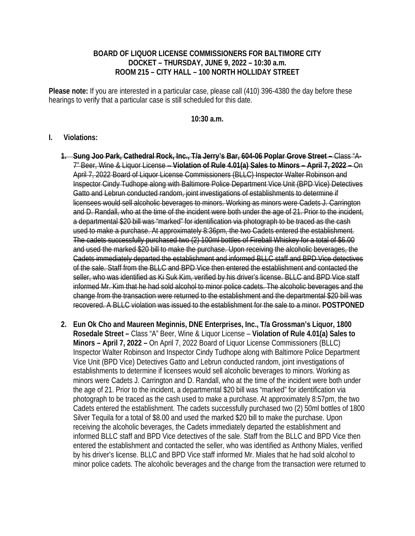## **BOARD OF LIQUOR LICENSE COMMISSIONERS FOR BALTIMORE CITY DOCKET – THURSDAY, JUNE 9, 2022 – 10:30 a.m. ROOM 215 – CITY HALL – 100 NORTH HOLLIDAY STREET**

**Please note:** If you are interested in a particular case, please call (410) 396-4380 the day before these hearings to verify that a particular case is still scheduled for this date.

## **10:30 a.m.**

## **I. Violations:**

- **1. Sung Joo Park, Cathedral Rock, Inc., T/a Jerry's Bar, 604-06 Poplar Grove Street** Class "A-7" Beer, Wine & Liquor License – **Violation of Rule 4.01(a) Sales to Minors – April 7, 2022 –** On April 7, 2022 Board of Liquor License Commissioners (BLLC) Inspector Walter Robinson and Inspector Cindy Tudhope along with Baltimore Police Department Vice Unit (BPD Vice) Detectives Gatto and Lebrun conducted random, joint investigations of establishments to determine if licensees would sell alcoholic beverages to minors. Working as minors were Cadets J. Carrington and D. Randall, who at the time of the incident were both under the age of 21. Prior to the incident, a departmental \$20 bill was "marked" for identification via photograph to be traced as the cash used to make a purchase. At approximately 8:36pm, the two Cadets entered the establishment. The cadets successfully purchased two (2) 100ml bottles of Fireball Whiskey for a total of \$6.00 and used the marked \$20 bill to make the purchase. Upon receiving the alcoholic beverages, the Cadets immediately departed the establishment and informed BLLC staff and BPD Vice detectives of the sale. Staff from the BLLC and BPD Vice then entered the establishment and contacted the seller, who was identified as Ki Suk Kim, verified by his driver's license. BLLC and BPD Vice staff informed Mr. Kim that he had sold alcohol to minor police cadets. The alcoholic beverages and the change from the transaction were returned to the establishment and the departmental \$20 bill was recovered. A BLLC violation was issued to the establishment for the sale to a minor. **POSTPONED**
- **2. Eun Ok Cho and Maureen Meginnis, DNE Enterprises, Inc., T/a Grossman's Liquor, 1800 Rosedale Street –** Class "A" Beer, Wine & Liquor License – **Violation of Rule 4.01(a) Sales to Minors – April 7, 2022 –** On April 7, 2022 Board of Liquor License Commissioners (BLLC) Inspector Walter Robinson and Inspector Cindy Tudhope along with Baltimore Police Department Vice Unit (BPD Vice) Detectives Gatto and Lebrun conducted random, joint investigations of establishments to determine if licensees would sell alcoholic beverages to minors. Working as minors were Cadets J. Carrington and D. Randall, who at the time of the incident were both under the age of 21. Prior to the incident, a departmental \$20 bill was "marked" for identification via photograph to be traced as the cash used to make a purchase. At approximately 8:57pm, the two Cadets entered the establishment. The cadets successfully purchased two (2) 50ml bottles of 1800 Silver Tequila for a total of \$8.00 and used the marked \$20 bill to make the purchase. Upon receiving the alcoholic beverages, the Cadets immediately departed the establishment and informed BLLC staff and BPD Vice detectives of the sale. Staff from the BLLC and BPD Vice then entered the establishment and contacted the seller, who was identified as Anthony Miales, verified by his driver's license. BLLC and BPD Vice staff informed Mr. Miales that he had sold alcohol to minor police cadets. The alcoholic beverages and the change from the transaction were returned to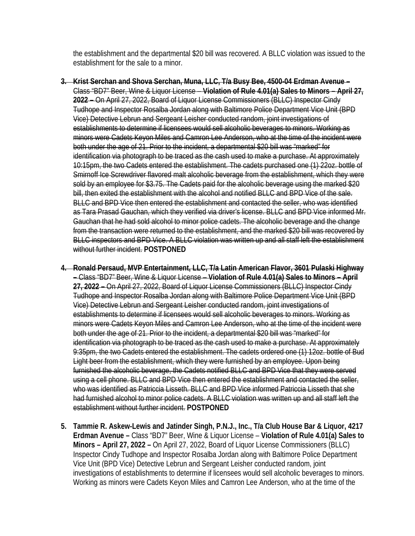the establishment and the departmental \$20 bill was recovered. A BLLC violation was issued to the establishment for the sale to a minor.

- **3. Krist Serchan and Shova Serchan, Muna, LLC, T/a Busy Bee, 4500-04 Erdman Avenue**  Class "BD7" Beer, Wine & Liquor License – **Violation of Rule 4.01(a) Sales to Minors – April 27, 2022 –** On April 27, 2022, Board of Liquor License Commissioners (BLLC) Inspector Cindy Tudhope and Inspector Rosalba Jordan along with Baltimore Police Department Vice Unit (BPD Vice) Detective Lebrun and Sergeant Leisher conducted random, joint investigations of establishments to determine if licensees would sell alcoholic beverages to minors. Working as minors were Cadets Keyon Miles and Camron Lee Anderson, who at the time of the incident were both under the age of 21. Prior to the incident, a departmental \$20 bill was "marked" for identification via photograph to be traced as the cash used to make a purchase. At approximately 10:15pm, the two Cadets entered the establishment. The cadets purchased one (1) 22oz. bottle of Smirnoff Ice Screwdriver flavored malt alcoholic beverage from the establishment, which they were sold by an employee for \$3.75. The Cadets paid for the alcoholic beverage using the marked \$20 bill, then exited the establishment with the alcohol and notified BLLC and BPD Vice of the sale. BLLC and BPD Vice then entered the establishment and contacted the seller, who was identified as Tara Prasad Gauchan, which they verified via driver's license. BLLC and BPD Vice informed Mr. Gauchan that he had sold alcohol to minor police cadets. The alcoholic beverage and the change from the transaction were returned to the establishment, and the marked \$20 bill was recovered by BLLC inspectors and BPD Vice. A BLLC violation was written up and all staff left the establishment without further incident. **POSTPONED**
- **4. Ronald Persaud, MVP Entertainment, LLC, T/a Latin American Flavor, 3601 Pulaski Highway –** Class "BD7" Beer, Wine & Liquor License – **Violation of Rule 4.01(a) Sales to Minors – April 27, 2022 –** On April 27, 2022, Board of Liquor License Commissioners (BLLC) Inspector Cindy Tudhope and Inspector Rosalba Jordan along with Baltimore Police Department Vice Unit (BPD Vice) Detective Lebrun and Sergeant Leisher conducted random, joint investigations of establishments to determine if licensees would sell alcoholic beverages to minors. Working as minors were Cadets Keyon Miles and Camron Lee Anderson, who at the time of the incident were both under the age of 21. Prior to the incident, a departmental \$20 bill was "marked" for identification via photograph to be traced as the cash used to make a purchase. At approximately 9:35pm, the two Cadets entered the establishment. The cadets ordered one (1) 12oz. bottle of Bud Light beer from the establishment, which they were furnished by an employee. Upon being furnished the alcoholic beverage, the Cadets notified BLLC and BPD Vice that they were served using a cell phone. BLLC and BPD Vice then entered the establishment and contacted the seller, who was identified as Patriccia Lisseth. BLLC and BPD Vice informed Patriccia Lisseth that she had furnished alcohol to minor police cadets. A BLLC violation was written up and all staff left the establishment without further incident. **POSTPONED**
- **5. Tammie R. Askew-Lewis and Jatinder Singh, P.N.J., Inc., T/a Club House Bar & Liquor, 4217 Erdman Avenue –** Class "BD7" Beer, Wine & Liquor License – **Violation of Rule 4.01(a) Sales to Minors – April 27, 2022 –** On April 27, 2022, Board of Liquor License Commissioners (BLLC) Inspector Cindy Tudhope and Inspector Rosalba Jordan along with Baltimore Police Department Vice Unit (BPD Vice) Detective Lebrun and Sergeant Leisher conducted random, joint investigations of establishments to determine if licensees would sell alcoholic beverages to minors. Working as minors were Cadets Keyon Miles and Camron Lee Anderson, who at the time of the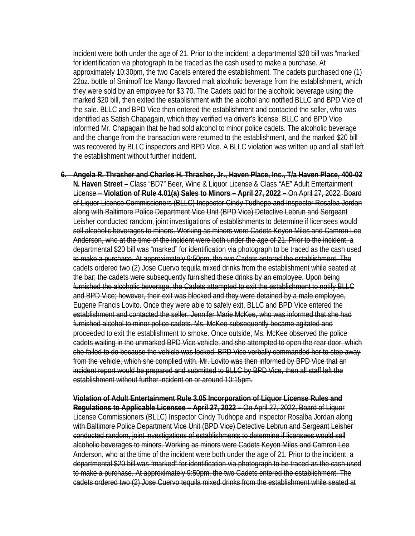incident were both under the age of 21. Prior to the incident, a departmental \$20 bill was "marked" for identification via photograph to be traced as the cash used to make a purchase. At approximately 10:30pm, the two Cadets entered the establishment. The cadets purchased one (1) 22oz. bottle of Smirnoff Ice Mango flavored malt alcoholic beverage from the establishment, which they were sold by an employee for \$3.70. The Cadets paid for the alcoholic beverage using the marked \$20 bill, then exited the establishment with the alcohol and notified BLLC and BPD Vice of the sale. BLLC and BPD Vice then entered the establishment and contacted the seller, who was identified as Satish Chapagain, which they verified via driver's license. BLLC and BPD Vice informed Mr. Chapagain that he had sold alcohol to minor police cadets. The alcoholic beverage and the change from the transaction were returned to the establishment, and the marked \$20 bill was recovered by BLLC inspectors and BPD Vice. A BLLC violation was written up and all staff left the establishment without further incident.

**6. Angela R. Thrasher and Charles H. Thrasher, Jr., Haven Place, Inc., T/a Haven Place, 400-02 N. Haven Street –** Class "BD7" Beer, Wine & Liquor License & Class "AE" Adult Entertainment License – **Violation of Rule 4.01(a) Sales to Minors – April 27, 2022 –** On April 27, 2022, Board of Liquor License Commissioners (BLLC) Inspector Cindy Tudhope and Inspector Rosalba Jordan along with Baltimore Police Department Vice Unit (BPD Vice) Detective Lebrun and Sergeant Leisher conducted random, joint investigations of establishments to determine if licensees would sell alcoholic beverages to minors. Working as minors were Cadets Keyon Miles and Camron Lee Anderson, who at the time of the incident were both under the age of 21. Prior to the incident, a departmental \$20 bill was "marked" for identification via photograph to be traced as the cash used to make a purchase. At approximately 9:50pm, the two Cadets entered the establishment. The cadets ordered two (2) Jose Cuervo tequila mixed drinks from the establishment while seated at the bar; the cadets were subsequently furnished these drinks by an employee. Upon being furnished the alcoholic beverage, the Cadets attempted to exit the establishment to notify BLLC and BPD Vice; however, their exit was blocked and they were detained by a male employee, Eugene Francis Lovito. Once they were able to safely exit, BLLC and BPD Vice entered the establishment and contacted the seller, Jennifer Marie McKee, who was informed that she had furnished alcohol to minor police cadets. Ms. McKee subsequently became agitated and proceeded to exit the establishment to smoke. Once outside, Ms. McKee observed the police cadets waiting in the unmarked BPD Vice vehicle, and she attempted to open the rear door, which she failed to do because the vehicle was locked. BPD Vice verbally commanded her to step away from the vehicle, which she complied with. Mr. Lovito was then informed by BPD Vice that an incident report would be prepared and submitted to BLLC by BPD Vice, then all staff left the establishment without further incident on or around 10:15pm.

**Violation of Adult Entertainment Rule 3.05 Incorporation of Liquor License Rules and Regulations to Applicable Licensee – April 27, 2022 –** On April 27, 2022, Board of Liquor License Commissioners (BLLC) Inspector Cindy Tudhope and Inspector Rosalba Jordan along with Baltimore Police Department Vice Unit (BPD Vice) Detective Lebrun and Sergeant Leisher conducted random, joint investigations of establishments to determine if licensees would sell alcoholic beverages to minors. Working as minors were Cadets Keyon Miles and Camron Lee Anderson, who at the time of the incident were both under the age of 21. Prior to the incident, a departmental \$20 bill was "marked" for identification via photograph to be traced as the cash used to make a purchase. At approximately 9:50pm, the two Cadets entered the establishment. The cadets ordered two (2) Jose Cuervo tequila mixed drinks from the establishment while seated at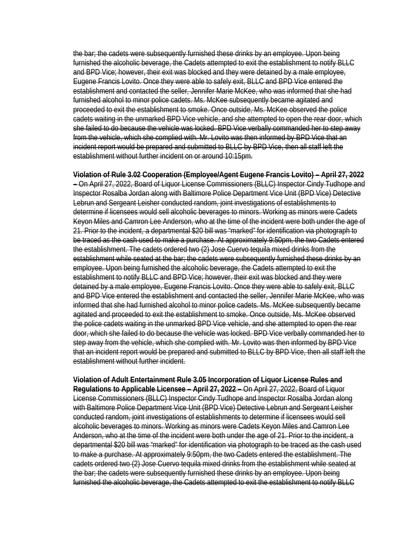the bar; the cadets were subsequently furnished these drinks by an employee. Upon being furnished the alcoholic beverage, the Cadets attempted to exit the establishment to notify BLLC and BPD Vice; however, their exit was blocked and they were detained by a male employee, Eugene Francis Lovito. Once they were able to safely exit, BLLC and BPD Vice entered the establishment and contacted the seller, Jennifer Marie McKee, who was informed that she had furnished alcohol to minor police cadets. Ms. McKee subsequently became agitated and proceeded to exit the establishment to smoke. Once outside, Ms. McKee observed the police cadets waiting in the unmarked BPD Vice vehicle, and she attempted to open the rear door, which she failed to do because the vehicle was locked. BPD Vice verbally commanded her to step away from the vehicle, which she complied with. Mr. Lovito was then informed by BPD Vice that an incident report would be prepared and submitted to BLLC by BPD Vice, then all staff left the establishment without further incident on or around 10:15pm.

**Violation of Rule 3.02 Cooperation (Employee/Agent Eugene Francis Lovito) – April 27, 2022 –** On April 27, 2022, Board of Liquor License Commissioners (BLLC) Inspector Cindy Tudhope and Inspector Rosalba Jordan along with Baltimore Police Department Vice Unit (BPD Vice) Detective Lebrun and Sergeant Leisher conducted random, joint investigations of establishments to determine if licensees would sell alcoholic beverages to minors. Working as minors were Cadets Keyon Miles and Camron Lee Anderson, who at the time of the incident were both under the age of 21. Prior to the incident, a departmental \$20 bill was "marked" for identification via photograph to be traced as the cash used to make a purchase. At approximately 9:50pm, the two Cadets entered the establishment. The cadets ordered two (2) Jose Cuervo tequila mixed drinks from the establishment while seated at the bar; the cadets were subsequently furnished these drinks by an employee. Upon being furnished the alcoholic beverage, the Cadets attempted to exit the establishment to notify BLLC and BPD Vice; however, their exit was blocked and they were detained by a male employee, Eugene Francis Lovito. Once they were able to safely exit, BLLC and BPD Vice entered the establishment and contacted the seller, Jennifer Marie McKee, who was informed that she had furnished alcohol to minor police cadets. Ms. McKee subsequently became agitated and proceeded to exit the establishment to smoke. Once outside, Ms. McKee observed the police cadets waiting in the unmarked BPD Vice vehicle, and she attempted to open the rear door, which she failed to do because the vehicle was locked. BPD Vice verbally commanded her to step away from the vehicle, which she complied with. Mr. Lovito was then informed by BPD Vice that an incident report would be prepared and submitted to BLLC by BPD Vice, then all staff left the establishment without further incident.

**Violation of Adult Entertainment Rule 3.05 Incorporation of Liquor License Rules and Regulations to Applicable Licensee – April 27, 2022 –** On April 27, 2022, Board of Liquor License Commissioners (BLLC) Inspector Cindy Tudhope and Inspector Rosalba Jordan along with Baltimore Police Department Vice Unit (BPD Vice) Detective Lebrun and Sergeant Leisher conducted random, joint investigations of establishments to determine if licensees would sell alcoholic beverages to minors. Working as minors were Cadets Keyon Miles and Camron Lee Anderson, who at the time of the incident were both under the age of 21. Prior to the incident, a departmental \$20 bill was "marked" for identification via photograph to be traced as the cash used to make a purchase. At approximately 9:50pm, the two Cadets entered the establishment. The cadets ordered two (2) Jose Cuervo tequila mixed drinks from the establishment while seated at the bar; the cadets were subsequently furnished these drinks by an employee. Upon being furnished the alcoholic beverage, the Cadets attempted to exit the establishment to notify BLLC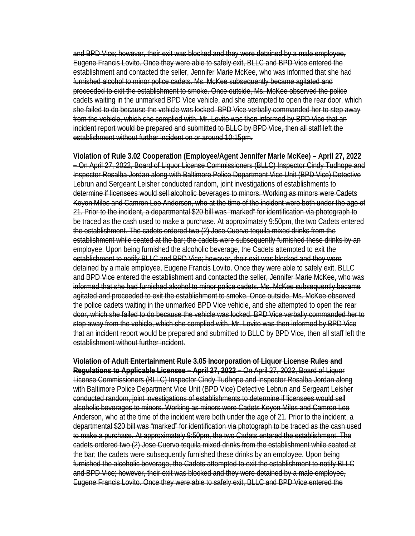and BPD Vice; however, their exit was blocked and they were detained by a male employee, Eugene Francis Lovito. Once they were able to safely exit, BLLC and BPD Vice entered the establishment and contacted the seller, Jennifer Marie McKee, who was informed that she had furnished alcohol to minor police cadets. Ms. McKee subsequently became agitated and proceeded to exit the establishment to smoke. Once outside, Ms. McKee observed the police cadets waiting in the unmarked BPD Vice vehicle, and she attempted to open the rear door, which she failed to do because the vehicle was locked. BPD Vice verbally commanded her to step away from the vehicle, which she complied with. Mr. Lovito was then informed by BPD Vice that an incident report would be prepared and submitted to BLLC by BPD Vice, then all staff left the establishment without further incident on or around 10:15pm.

**Violation of Rule 3.02 Cooperation (Employee/Agent Jennifer Marie McKee) – April 27, 2022 –** On April 27, 2022, Board of Liquor License Commissioners (BLLC) Inspector Cindy Tudhope and Inspector Rosalba Jordan along with Baltimore Police Department Vice Unit (BPD Vice) Detective Lebrun and Sergeant Leisher conducted random, joint investigations of establishments to determine if licensees would sell alcoholic beverages to minors. Working as minors were Cadets Keyon Miles and Camron Lee Anderson, who at the time of the incident were both under the age of 21. Prior to the incident, a departmental \$20 bill was "marked" for identification via photograph to be traced as the cash used to make a purchase. At approximately 9:50pm, the two Cadets entered the establishment. The cadets ordered two (2) Jose Cuervo tequila mixed drinks from the establishment while seated at the bar; the cadets were subsequently furnished these drinks by an employee. Upon being furnished the alcoholic beverage, the Cadets attempted to exit the establishment to notify BLLC and BPD Vice; however, their exit was blocked and they were detained by a male employee, Eugene Francis Lovito. Once they were able to safely exit, BLLC and BPD Vice entered the establishment and contacted the seller, Jennifer Marie McKee, who was informed that she had furnished alcohol to minor police cadets. Ms. McKee subsequently became agitated and proceeded to exit the establishment to smoke. Once outside, Ms. McKee observed the police cadets waiting in the unmarked BPD Vice vehicle, and she attempted to open the rear door, which she failed to do because the vehicle was locked. BPD Vice verbally commanded her to step away from the vehicle, which she complied with. Mr. Lovito was then informed by BPD Vice that an incident report would be prepared and submitted to BLLC by BPD Vice, then all staff left the establishment without further incident.

**Violation of Adult Entertainment Rule 3.05 Incorporation of Liquor License Rules and Regulations to Applicable Licensee – April 27, 2022 –** On April 27, 2022, Board of Liquor License Commissioners (BLLC) Inspector Cindy Tudhope and Inspector Rosalba Jordan along with Baltimore Police Department Vice Unit (BPD Vice) Detective Lebrun and Sergeant Leisher conducted random, joint investigations of establishments to determine if licensees would sell alcoholic beverages to minors. Working as minors were Cadets Keyon Miles and Camron Lee Anderson, who at the time of the incident were both under the age of 21. Prior to the incident, a departmental \$20 bill was "marked" for identification via photograph to be traced as the cash used to make a purchase. At approximately 9:50pm, the two Cadets entered the establishment. The cadets ordered two (2) Jose Cuervo tequila mixed drinks from the establishment while seated at the bar; the cadets were subsequently furnished these drinks by an employee. Upon being furnished the alcoholic beverage, the Cadets attempted to exit the establishment to notify BLLC and BPD Vice; however, their exit was blocked and they were detained by a male employee, Eugene Francis Lovito. Once they were able to safely exit, BLLC and BPD Vice entered the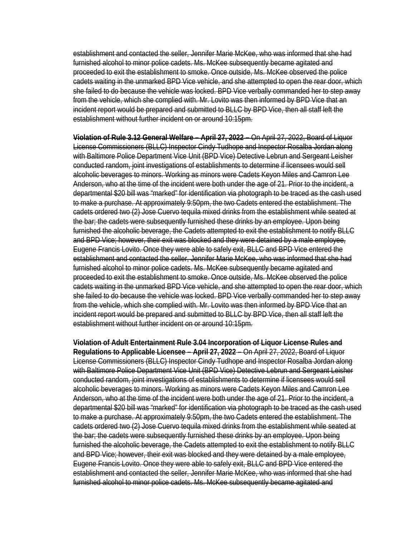establishment and contacted the seller, Jennifer Marie McKee, who was informed that she had furnished alcohol to minor police cadets. Ms. McKee subsequently became agitated and proceeded to exit the establishment to smoke. Once outside, Ms. McKee observed the police cadets waiting in the unmarked BPD Vice vehicle, and she attempted to open the rear door, which she failed to do because the vehicle was locked. BPD Vice verbally commanded her to step away from the vehicle, which she complied with. Mr. Lovito was then informed by BPD Vice that an incident report would be prepared and submitted to BLLC by BPD Vice, then all staff left the establishment without further incident on or around 10:15pm.

**Violation of Rule 3.12 General Welfare – April 27, 2022 –** On April 27, 2022, Board of Liquor License Commissioners (BLLC) Inspector Cindy Tudhope and Inspector Rosalba Jordan along with Baltimore Police Department Vice Unit (BPD Vice) Detective Lebrun and Sergeant Leisher conducted random, joint investigations of establishments to determine if licensees would sell alcoholic beverages to minors. Working as minors were Cadets Keyon Miles and Camron Lee Anderson, who at the time of the incident were both under the age of 21. Prior to the incident, a departmental \$20 bill was "marked" for identification via photograph to be traced as the cash used to make a purchase. At approximately 9:50pm, the two Cadets entered the establishment. The cadets ordered two (2) Jose Cuervo tequila mixed drinks from the establishment while seated at the bar; the cadets were subsequently furnished these drinks by an employee. Upon being furnished the alcoholic beverage, the Cadets attempted to exit the establishment to notify BLLC and BPD Vice; however, their exit was blocked and they were detained by a male employee, Eugene Francis Lovito. Once they were able to safely exit, BLLC and BPD Vice entered the establishment and contacted the seller, Jennifer Marie McKee, who was informed that she had furnished alcohol to minor police cadets. Ms. McKee subsequently became agitated and proceeded to exit the establishment to smoke. Once outside, Ms. McKee observed the police cadets waiting in the unmarked BPD Vice vehicle, and she attempted to open the rear door, which she failed to do because the vehicle was locked. BPD Vice verbally commanded her to step away from the vehicle, which she complied with. Mr. Lovito was then informed by BPD Vice that an incident report would be prepared and submitted to BLLC by BPD Vice, then all staff left the establishment without further incident on or around 10:15pm.

**Violation of Adult Entertainment Rule 3.04 Incorporation of Liquor License Rules and Regulations to Applicable Licensee – April 27, 2022 –** On April 27, 2022, Board of Liquor License Commissioners (BLLC) Inspector Cindy Tudhope and Inspector Rosalba Jordan along with Baltimore Police Department Vice Unit (BPD Vice) Detective Lebrun and Sergeant Leisher conducted random, joint investigations of establishments to determine if licensees would sell alcoholic beverages to minors. Working as minors were Cadets Keyon Miles and Camron Lee Anderson, who at the time of the incident were both under the age of 21. Prior to the incident, a departmental \$20 bill was "marked" for identification via photograph to be traced as the cash used to make a purchase. At approximately 9:50pm, the two Cadets entered the establishment. The cadets ordered two (2) Jose Cuervo tequila mixed drinks from the establishment while seated at the bar; the cadets were subsequently furnished these drinks by an employee. Upon being furnished the alcoholic beverage, the Cadets attempted to exit the establishment to notify BLLC and BPD Vice; however, their exit was blocked and they were detained by a male employee, Eugene Francis Lovito. Once they were able to safely exit, BLLC and BPD Vice entered the establishment and contacted the seller, Jennifer Marie McKee, who was informed that she had furnished alcohol to minor police cadets. Ms. McKee subsequently became agitated and